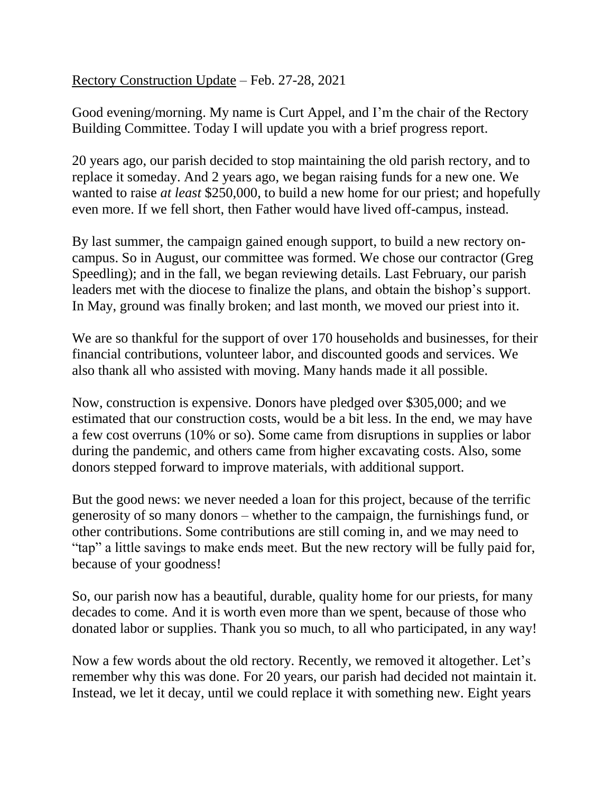Rectory Construction Update – Feb. 27-28, 2021

Good evening/morning. My name is Curt Appel, and I'm the chair of the Rectory Building Committee. Today I will update you with a brief progress report.

20 years ago, our parish decided to stop maintaining the old parish rectory, and to replace it someday. And 2 years ago, we began raising funds for a new one. We wanted to raise *at least* \$250,000, to build a new home for our priest; and hopefully even more. If we fell short, then Father would have lived off-campus, instead.

By last summer, the campaign gained enough support, to build a new rectory oncampus. So in August, our committee was formed. We chose our contractor (Greg Speedling); and in the fall, we began reviewing details. Last February, our parish leaders met with the diocese to finalize the plans, and obtain the bishop's support. In May, ground was finally broken; and last month, we moved our priest into it.

We are so thankful for the support of over 170 households and businesses, for their financial contributions, volunteer labor, and discounted goods and services. We also thank all who assisted with moving. Many hands made it all possible.

Now, construction is expensive. Donors have pledged over \$305,000; and we estimated that our construction costs, would be a bit less. In the end, we may have a few cost overruns (10% or so). Some came from disruptions in supplies or labor during the pandemic, and others came from higher excavating costs. Also, some donors stepped forward to improve materials, with additional support.

But the good news: we never needed a loan for this project, because of the terrific generosity of so many donors – whether to the campaign, the furnishings fund, or other contributions. Some contributions are still coming in, and we may need to "tap" a little savings to make ends meet. But the new rectory will be fully paid for, because of your goodness!

So, our parish now has a beautiful, durable, quality home for our priests, for many decades to come. And it is worth even more than we spent, because of those who donated labor or supplies. Thank you so much, to all who participated, in any way!

Now a few words about the old rectory. Recently, we removed it altogether. Let's remember why this was done. For 20 years, our parish had decided not maintain it. Instead, we let it decay, until we could replace it with something new. Eight years